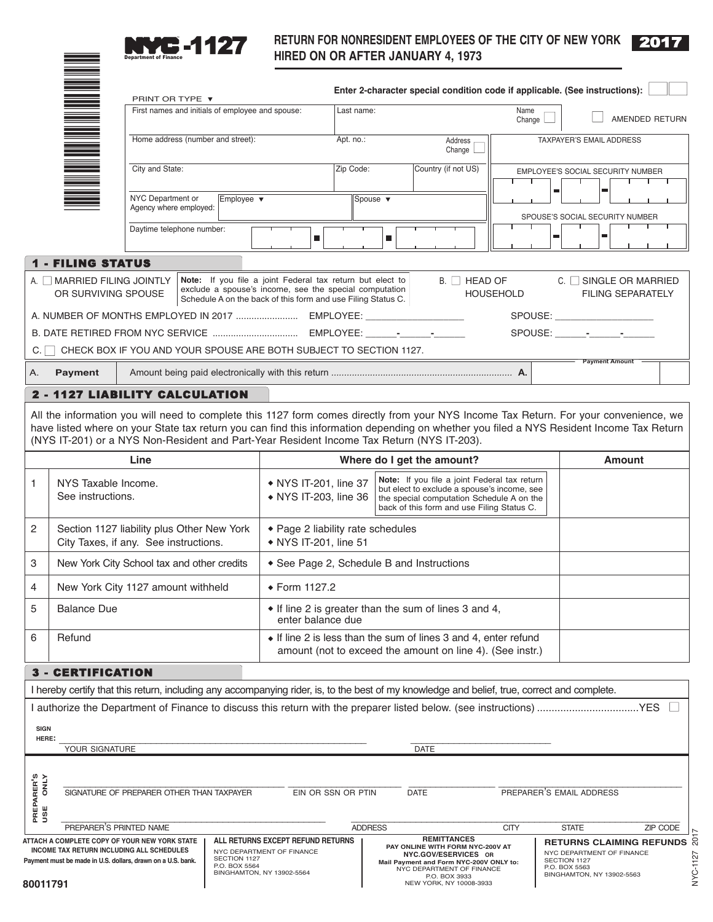

\*

## **RETURN FOR NONRESIDENT EMPLOYEES OF THE CITY OF NEW YORK 2017**

|                                                                                          |                                                                                                                                                                                                                                                                                                                                                                                | PRINT OR TYPE ▼                                  |  |                                                                                                                                                                                     |                                                                                                                                                                                                                                          |                                                                                                                              |                                                                                                                  |                |                            |             |                                                                                |                  | Enter 2-character special condition code if applicable. (See instructions): |  |                                   |                                                                                                                                                                                                                                |                       |                          |                                             |
|------------------------------------------------------------------------------------------|--------------------------------------------------------------------------------------------------------------------------------------------------------------------------------------------------------------------------------------------------------------------------------------------------------------------------------------------------------------------------------|--------------------------------------------------|--|-------------------------------------------------------------------------------------------------------------------------------------------------------------------------------------|------------------------------------------------------------------------------------------------------------------------------------------------------------------------------------------------------------------------------------------|------------------------------------------------------------------------------------------------------------------------------|------------------------------------------------------------------------------------------------------------------|----------------|----------------------------|-------------|--------------------------------------------------------------------------------|------------------|-----------------------------------------------------------------------------|--|-----------------------------------|--------------------------------------------------------------------------------------------------------------------------------------------------------------------------------------------------------------------------------|-----------------------|--------------------------|---------------------------------------------|
|                                                                                          |                                                                                                                                                                                                                                                                                                                                                                                | First names and initials of employee and spouse: |  |                                                                                                                                                                                     |                                                                                                                                                                                                                                          |                                                                                                                              | Last name:<br>Name<br>Change L                                                                                   |                |                            |             |                                                                                | AMENDED RETURN   |                                                                             |  |                                   |                                                                                                                                                                                                                                |                       |                          |                                             |
|                                                                                          |                                                                                                                                                                                                                                                                                                                                                                                | Home address (number and street):                |  |                                                                                                                                                                                     |                                                                                                                                                                                                                                          |                                                                                                                              | Apt. no.:<br>Address<br>Change                                                                                   |                |                            |             | TAXPAYER'S EMAIL ADDRESS                                                       |                  |                                                                             |  |                                   |                                                                                                                                                                                                                                |                       |                          |                                             |
|                                                                                          |                                                                                                                                                                                                                                                                                                                                                                                | City and State:                                  |  |                                                                                                                                                                                     |                                                                                                                                                                                                                                          |                                                                                                                              |                                                                                                                  | Zip Code:      |                            |             | Country (if not US)                                                            |                  |                                                                             |  | EMPLOYEE'S SOCIAL SECURITY NUMBER |                                                                                                                                                                                                                                |                       |                          |                                             |
|                                                                                          |                                                                                                                                                                                                                                                                                                                                                                                | NYC Department or<br>Agency where employed:      |  | Employee $\blacktriangledown$                                                                                                                                                       |                                                                                                                                                                                                                                          |                                                                                                                              |                                                                                                                  | Spouse v       |                            |             |                                                                                |                  | $\blacksquare$                                                              |  |                                   |                                                                                                                                                                                                                                |                       |                          |                                             |
|                                                                                          |                                                                                                                                                                                                                                                                                                                                                                                | Daytime telephone number:                        |  |                                                                                                                                                                                     |                                                                                                                                                                                                                                          | $\blacksquare$                                                                                                               |                                                                                                                  |                | ш                          |             |                                                                                |                  |                                                                             |  | ш                                 | SPOUSE'S SOCIAL SECURITY NUMBER                                                                                                                                                                                                | ш                     |                          |                                             |
|                                                                                          | <b>1 - FILING STATUS</b>                                                                                                                                                                                                                                                                                                                                                       |                                                  |  |                                                                                                                                                                                     |                                                                                                                                                                                                                                          |                                                                                                                              |                                                                                                                  |                |                            |             |                                                                                |                  |                                                                             |  |                                   |                                                                                                                                                                                                                                |                       |                          |                                             |
|                                                                                          | A. MARRIED FILING JOINTLY<br>OR SURVIVING SPOUSE                                                                                                                                                                                                                                                                                                                               |                                                  |  | Note: If you file a joint Federal tax return but elect to<br>exclude a spouse's income, see the special computation<br>Schedule A on the back of this form and use Filing Status C. |                                                                                                                                                                                                                                          |                                                                                                                              |                                                                                                                  |                |                            |             |                                                                                | $B.$ $H$ HEAD OF | <b>HOUSEHOLD</b>                                                            |  |                                   | C. SINGLE OR MARRIED                                                                                                                                                                                                           |                       | <b>FILING SEPARATELY</b> |                                             |
|                                                                                          |                                                                                                                                                                                                                                                                                                                                                                                |                                                  |  |                                                                                                                                                                                     |                                                                                                                                                                                                                                          |                                                                                                                              |                                                                                                                  |                |                            |             |                                                                                |                  |                                                                             |  |                                   | SPOUSE: And the state of the state of the state of the state of the state of the state of the state of the state of the state of the state of the state of the state of the state of the state of the state of the state of th |                       |                          |                                             |
|                                                                                          |                                                                                                                                                                                                                                                                                                                                                                                |                                                  |  |                                                                                                                                                                                     |                                                                                                                                                                                                                                          |                                                                                                                              |                                                                                                                  |                |                            |             |                                                                                |                  |                                                                             |  |                                   |                                                                                                                                                                                                                                |                       |                          |                                             |
|                                                                                          | C. C CHECK BOX IF YOU AND YOUR SPOUSE ARE BOTH SUBJECT TO SECTION 1127.                                                                                                                                                                                                                                                                                                        |                                                  |  |                                                                                                                                                                                     |                                                                                                                                                                                                                                          |                                                                                                                              |                                                                                                                  |                |                            |             |                                                                                |                  |                                                                             |  |                                   |                                                                                                                                                                                                                                |                       |                          |                                             |
| Α.                                                                                       | <b>Payment</b>                                                                                                                                                                                                                                                                                                                                                                 |                                                  |  |                                                                                                                                                                                     |                                                                                                                                                                                                                                          |                                                                                                                              |                                                                                                                  |                |                            |             |                                                                                |                  |                                                                             |  |                                   |                                                                                                                                                                                                                                | <b>Payment Amount</b> |                          |                                             |
|                                                                                          | 2 - 1127 LIABILITY CALCULATION                                                                                                                                                                                                                                                                                                                                                 |                                                  |  |                                                                                                                                                                                     |                                                                                                                                                                                                                                          |                                                                                                                              |                                                                                                                  |                |                            |             |                                                                                |                  |                                                                             |  |                                   |                                                                                                                                                                                                                                |                       |                          |                                             |
|                                                                                          | All the information you will need to complete this 1127 form comes directly from your NYS Income Tax Return. For your convenience, we<br>have listed where on your State tax return you can find this information depending on whether you filed a NYS Resident Income Tax Return<br>(NYS IT-201) or a NYS Non-Resident and Part-Year Resident Income Tax Return (NYS IT-203). |                                                  |  |                                                                                                                                                                                     |                                                                                                                                                                                                                                          |                                                                                                                              |                                                                                                                  |                |                            |             |                                                                                |                  |                                                                             |  |                                   |                                                                                                                                                                                                                                |                       |                          |                                             |
|                                                                                          |                                                                                                                                                                                                                                                                                                                                                                                | Line                                             |  |                                                                                                                                                                                     |                                                                                                                                                                                                                                          |                                                                                                                              |                                                                                                                  |                | Where do I get the amount? |             |                                                                                |                  |                                                                             |  |                                   |                                                                                                                                                                                                                                |                       | <b>Amount</b>            |                                             |
| 1                                                                                        | NYS Taxable Income.<br>See instructions.                                                                                                                                                                                                                                                                                                                                       |                                                  |  |                                                                                                                                                                                     | Note: If you file a joint Federal tax return<br>• NYS IT-201, line 37<br>but elect to exclude a spouse's income, see<br>• NYS IT-203, line 36<br>the special computation Schedule A on the<br>back of this form and use Filing Status C. |                                                                                                                              |                                                                                                                  |                |                            |             |                                                                                |                  |                                                                             |  |                                   |                                                                                                                                                                                                                                |                       |                          |                                             |
| 2                                                                                        | Section 1127 liability plus Other New York<br>City Taxes, if any. See instructions.                                                                                                                                                                                                                                                                                            |                                                  |  |                                                                                                                                                                                     |                                                                                                                                                                                                                                          | ◆ Page 2 liability rate schedules<br>• NYS IT-201, line 51                                                                   |                                                                                                                  |                |                            |             |                                                                                |                  |                                                                             |  |                                   |                                                                                                                                                                                                                                |                       |                          |                                             |
| 3                                                                                        | New York City School tax and other credits                                                                                                                                                                                                                                                                                                                                     |                                                  |  |                                                                                                                                                                                     |                                                                                                                                                                                                                                          | ◆ See Page 2, Schedule B and Instructions                                                                                    |                                                                                                                  |                |                            |             |                                                                                |                  |                                                                             |  |                                   |                                                                                                                                                                                                                                |                       |                          |                                             |
| 4                                                                                        | New York City 1127 amount withheld                                                                                                                                                                                                                                                                                                                                             |                                                  |  |                                                                                                                                                                                     |                                                                                                                                                                                                                                          | ◆ Form 1127.2                                                                                                                |                                                                                                                  |                |                            |             |                                                                                |                  |                                                                             |  |                                   |                                                                                                                                                                                                                                |                       |                          |                                             |
| 5                                                                                        | <b>Balance Due</b>                                                                                                                                                                                                                                                                                                                                                             |                                                  |  |                                                                                                                                                                                     |                                                                                                                                                                                                                                          | • If line 2 is greater than the sum of lines 3 and 4,<br>enter balance due                                                   |                                                                                                                  |                |                            |             |                                                                                |                  |                                                                             |  |                                   |                                                                                                                                                                                                                                |                       |                          |                                             |
| 6                                                                                        | Refund                                                                                                                                                                                                                                                                                                                                                                         |                                                  |  |                                                                                                                                                                                     |                                                                                                                                                                                                                                          | • If line 2 is less than the sum of lines 3 and 4, enter refund<br>amount (not to exceed the amount on line 4). (See instr.) |                                                                                                                  |                |                            |             |                                                                                |                  |                                                                             |  |                                   |                                                                                                                                                                                                                                |                       |                          |                                             |
|                                                                                          | 3 - CERTIFICATION                                                                                                                                                                                                                                                                                                                                                              |                                                  |  |                                                                                                                                                                                     |                                                                                                                                                                                                                                          |                                                                                                                              |                                                                                                                  |                |                            |             |                                                                                |                  |                                                                             |  |                                   |                                                                                                                                                                                                                                |                       |                          |                                             |
|                                                                                          | I hereby certify that this return, including any accompanying rider, is, to the best of my knowledge and belief, true, correct and complete.                                                                                                                                                                                                                                   |                                                  |  |                                                                                                                                                                                     |                                                                                                                                                                                                                                          |                                                                                                                              |                                                                                                                  |                |                            |             |                                                                                |                  |                                                                             |  |                                   |                                                                                                                                                                                                                                |                       |                          |                                             |
|                                                                                          |                                                                                                                                                                                                                                                                                                                                                                                |                                                  |  |                                                                                                                                                                                     |                                                                                                                                                                                                                                          |                                                                                                                              |                                                                                                                  |                |                            |             |                                                                                |                  |                                                                             |  |                                   |                                                                                                                                                                                                                                |                       |                          |                                             |
| <b>SIGN</b>                                                                              |                                                                                                                                                                                                                                                                                                                                                                                |                                                  |  |                                                                                                                                                                                     |                                                                                                                                                                                                                                          |                                                                                                                              |                                                                                                                  |                |                            |             |                                                                                |                  |                                                                             |  |                                   |                                                                                                                                                                                                                                |                       |                          |                                             |
|                                                                                          | HERE:<br>YOUR SIGNATURE                                                                                                                                                                                                                                                                                                                                                        |                                                  |  |                                                                                                                                                                                     |                                                                                                                                                                                                                                          |                                                                                                                              |                                                                                                                  |                |                            | <b>DATE</b> |                                                                                |                  |                                                                             |  |                                   |                                                                                                                                                                                                                                |                       |                          |                                             |
|                                                                                          |                                                                                                                                                                                                                                                                                                                                                                                |                                                  |  |                                                                                                                                                                                     |                                                                                                                                                                                                                                          |                                                                                                                              |                                                                                                                  |                |                            |             |                                                                                |                  |                                                                             |  |                                   |                                                                                                                                                                                                                                |                       |                          |                                             |
| PREPARER'S<br>USE ONLY                                                                   | SIGNATURE OF PREPARER OTHER THAN TAXPAYER                                                                                                                                                                                                                                                                                                                                      |                                                  |  |                                                                                                                                                                                     |                                                                                                                                                                                                                                          | EIN OR SSN OR PTIN                                                                                                           |                                                                                                                  |                |                            | <b>DATE</b> |                                                                                |                  |                                                                             |  |                                   | PREPARER'S EMAIL ADDRESS                                                                                                                                                                                                       |                       |                          |                                             |
|                                                                                          |                                                                                                                                                                                                                                                                                                                                                                                |                                                  |  |                                                                                                                                                                                     |                                                                                                                                                                                                                                          |                                                                                                                              |                                                                                                                  |                |                            |             |                                                                                |                  |                                                                             |  |                                   |                                                                                                                                                                                                                                |                       |                          |                                             |
|                                                                                          | PREPARER'S PRINTED NAME<br>ATTACH A COMPLETE COPY OF YOUR NEW YORK STATE<br>INCOME TAX RETURN INCLUDING ALL SCHEDULES                                                                                                                                                                                                                                                          |                                                  |  | SECTION 1127                                                                                                                                                                        | ALL RETURNS EXCEPT REFUND RETURNS<br>NYC DEPARTMENT OF FINANCE                                                                                                                                                                           |                                                                                                                              |                                                                                                                  | <b>ADDRESS</b> |                            |             | <b>REMITTANCES</b><br>PAY ONLINE WITH FORM NYC-200V AT<br>NYC.GOV/ESERVICES OR |                  | <b>CITY</b>                                                                 |  |                                   | <b>STATE</b><br>NYC DEPARTMENT OF FINANCE<br>SECTION 1127                                                                                                                                                                      |                       |                          | ZIP CODE<br><b>RETURNS CLAIMING REFUNDS</b> |
| Payment must be made in U.S. dollars, drawn on a U.S. bank.<br>P.O. BOX 5564<br>80011791 |                                                                                                                                                                                                                                                                                                                                                                                |                                                  |  | BINGHAMTON, NY 13902-5564                                                                                                                                                           |                                                                                                                                                                                                                                          |                                                                                                                              | Mail Payment and Form NYC-200V ONLY to:<br>NYC DEPARTMENT OF FINANCE<br>P.O. BOX 3933<br>NEW YORK, NY 10008-3933 |                |                            |             |                                                                                |                  | P.O. BOX 5563<br>BINGHAMTON, NY 13902-5563                                  |  |                                   |                                                                                                                                                                                                                                |                       |                          |                                             |

NYC-1127 2017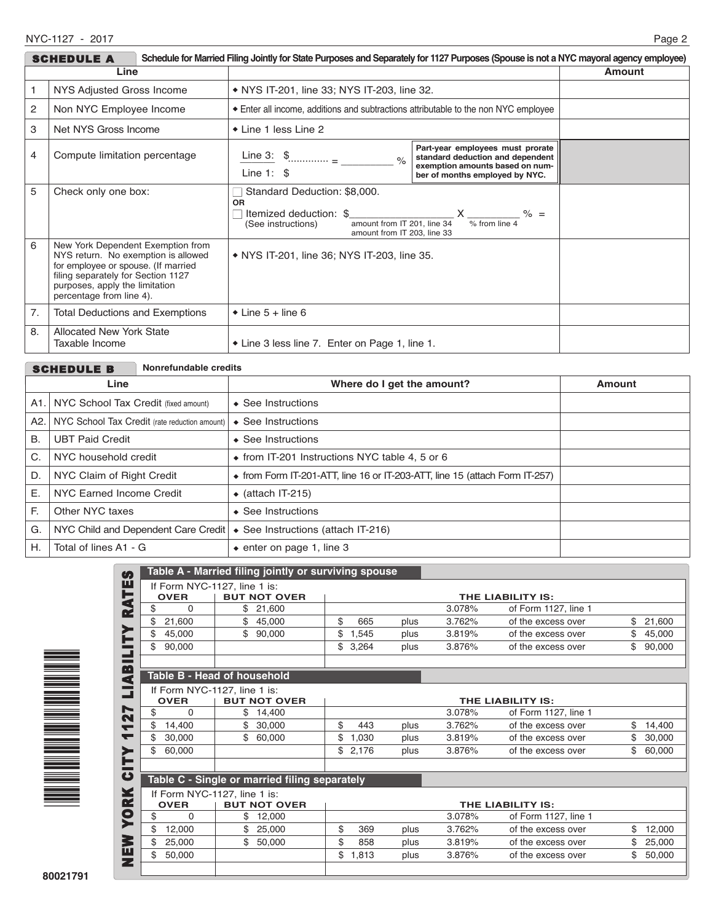|                                                                                                                                                                                                                          | SCHEDULE A                                        | Schedule for Married Filing Jointly for State Purposes and Separately for 1127 Purposes (Spouse is not a NYC mayoral agency employee)                   |                                                                                                                                           |        |
|--------------------------------------------------------------------------------------------------------------------------------------------------------------------------------------------------------------------------|---------------------------------------------------|---------------------------------------------------------------------------------------------------------------------------------------------------------|-------------------------------------------------------------------------------------------------------------------------------------------|--------|
| Line                                                                                                                                                                                                                     |                                                   |                                                                                                                                                         |                                                                                                                                           | Amount |
| NYS Adjusted Gross Income                                                                                                                                                                                                |                                                   | • NYS IT-201, line 33; NYS IT-203, line 32.                                                                                                             |                                                                                                                                           |        |
| 2                                                                                                                                                                                                                        | Non NYC Employee Income                           | • Enter all income, additions and subtractions attributable to the non NYC employee                                                                     |                                                                                                                                           |        |
| 3                                                                                                                                                                                                                        | Net NYS Gross Income                              | $\bullet$ Line 1 less Line 2                                                                                                                            |                                                                                                                                           |        |
| 4                                                                                                                                                                                                                        | Compute limitation percentage                     | Line 3: $\frac{1}{2}$<br>$\frac{1}{2}$<br>Line $1:$ \$                                                                                                  | Part-year employees must prorate<br>standard deduction and dependent<br>exemption amounts based on num-<br>ber of months employed by NYC. |        |
| 5                                                                                                                                                                                                                        | Check only one box:                               | Standard Deduction: \$8,000.<br><b>OR</b><br>Itemized deduction: \$<br>amount from IT 201, line 34<br>(See instructions)<br>amount from IT 203, line 33 | $\% =$<br>$\frac{9}{6}$ from line 4                                                                                                       |        |
| 6<br>New York Dependent Exemption from<br>NYS return. No exemption is allowed<br>for employee or spouse. (If married<br>filing separately for Section 1127<br>purposes, apply the limitation<br>percentage from line 4). |                                                   | • NYS IT-201, line 36; NYS IT-203, line 35.                                                                                                             |                                                                                                                                           |        |
| 7.                                                                                                                                                                                                                       | <b>Total Deductions and Exemptions</b>            | $\bullet$ Line 5 + line 6                                                                                                                               |                                                                                                                                           |        |
| 8.                                                                                                                                                                                                                       | <b>Allocated New York State</b><br>Taxable Income | • Line 3 less line 7. Enter on Page 1, line 1.                                                                                                          |                                                                                                                                           |        |

| Nonrefundable credits<br><b>SCHEDULE B</b> |                                               |                                                                                     |        |  |  |  |
|--------------------------------------------|-----------------------------------------------|-------------------------------------------------------------------------------------|--------|--|--|--|
|                                            | Line                                          | Where do I get the amount?                                                          | Amount |  |  |  |
|                                            | A1. NYC School Tax Credit (fixed amount)      | $\triangle$ See Instructions                                                        |        |  |  |  |
| A2.                                        | NYC School Tax Credit (rate reduction amount) | $\triangle$ See Instructions                                                        |        |  |  |  |
| В.<br><b>UBT Paid Credit</b>               |                                               | $\triangle$ See Instructions                                                        |        |  |  |  |
| C.                                         | NYC household credit                          | • from IT-201 Instructions NYC table 4, 5 or 6                                      |        |  |  |  |
| D.                                         | NYC Claim of Right Credit                     | $\bullet$ from Form IT-201-ATT, line 16 or IT-203-ATT, line 15 (attach Form IT-257) |        |  |  |  |
| Е.                                         | NYC Earned Income Credit                      | $\bullet$ (attach IT-215)                                                           |        |  |  |  |
| F.                                         | Other NYC taxes                               | $\triangle$ See Instructions                                                        |        |  |  |  |
| G.                                         | NYC Child and Dependent Care Credit           | ◆ See Instructions (attach IT-216)                                                  |        |  |  |  |
| Η.                                         | Total of lines A1 - G                         | $\bullet$ enter on page 1, line 3                                                   |        |  |  |  |



|                                    |        |      |             | Table A - Married filing jointly or surviving spouse |             |    |
|------------------------------------|--------|------|-------------|------------------------------------------------------|-------------|----|
| If Form NYC-1127, line 1 is:       |        |      |             |                                                      |             |    |
| THE LIABILITY IS:                  |        |      |             | <b>BUT NOT OVER</b>                                  | <b>OVER</b> |    |
| of Form 1127, line 1               | 3.078% |      |             | 21,600<br>\$                                         | $\Omega$    | \$ |
| \$<br>21,600<br>of the excess over | 3.762% | plus | \$<br>665   | \$<br>45,000                                         | 21,600      | \$ |
| 45,000<br>of the excess over       | 3.819% | plus | \$<br>1,545 | \$<br>90,000                                         | 45,000      | \$ |
| \$<br>90,000<br>of the excess over | 3.876% | plus | \$<br>3,264 |                                                      | 90,000      | \$ |
|                                    |        |      |             | <b>Table B - Head of household</b>                   |             |    |
|                                    |        |      |             | If Form NYC-1127, line 1 is:                         |             |    |
| THE LIABILITY IS:                  |        |      |             | <b>BUT NOT OVER</b>                                  | <b>OVER</b> |    |
| of Form 1127, line 1               | 3.078% |      |             | \$<br>14,400                                         | 0           | \$ |
| \$<br>14,400<br>of the excess over | 3.762% | plus | \$<br>443   | 30,000                                               | 14,400      | \$ |
| \$<br>30,000<br>of the excess over | 3.819% | plus | \$<br>1,030 | \$<br>60,000                                         | 30,000      | \$ |
| \$<br>60,000<br>of the excess over | 3.876% | plus | \$<br>2,176 |                                                      | 60,000      | \$ |
|                                    |        |      |             | Table C - Single or married filing separately        |             |    |
|                                    |        |      |             | If Form NYC-1127, line 1 is:                         |             |    |
| THE LIABILITY IS:                  |        |      |             | <b>BUT NOT OVER</b>                                  | <b>OVER</b> |    |
| of Form 1127, line 1               | 3.078% |      |             | 12,000<br>\$                                         | $\Omega$    | \$ |
| of the excess over<br>\$<br>12,000 | 3.762% | plus | \$<br>369   | 25,000                                               | 12,000      | \$ |
| \$<br>of the excess over<br>25,000 | 3.819% | plus | \$<br>858   | \$<br>50,000                                         | 25,000      | \$ |
| 50,000<br>of the excess over<br>\$ | 3.876% | plus | \$<br>1,813 |                                                      | 50,000      | \$ |
|                                    |        |      |             |                                                      |             |    |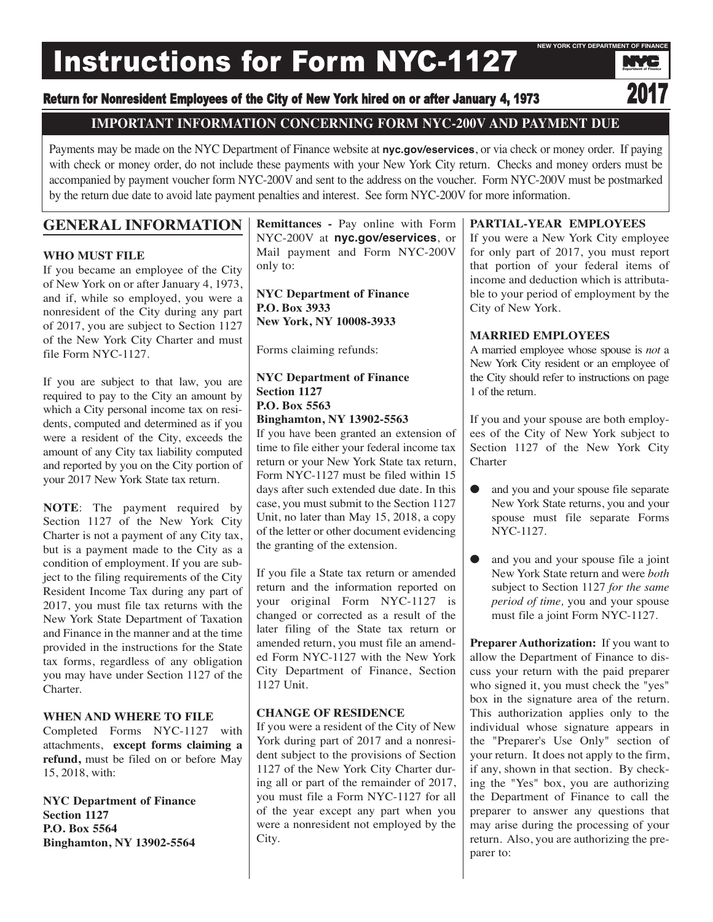# Instructions for Form NYC-1127



## **IMPORTANT INFORMATION CONCERNING FORM NYC-200V AND PAYMENT DUE**

Payments may be made on the NYC Department of Finance website at **nyc.gov/eservices**, or via check or money order. If paying with check or money order, do not include these payments with your New York City return. Checks and money orders must be accompanied by payment voucher form NYC-200V and sent to the address on the voucher. Form NYC-200V must be postmarked by the return due date to avoid late payment penalties and interest. See form NYC-200V for more information.

## **GENERAL INFORMATION**

## **WHO MUST FILE**

If you became an employee of the City of New York on or after January 4, 1973, and if, while so employed, you were a nonresident of the City during any part of 2017, you are subject to Section 1127 of the New York City Charter and must file Form NYC-1127.

If you are subject to that law, you are required to pay to the City an amount by which a City personal income tax on residents, computed and determined as if you were a resident of the City, exceeds the amount of any City tax liability computed and reported by you on the City portion of your 2017 New York State tax return.

**NOTE**: The payment required by Section 1127 of the New York City Charter is not a payment of any City tax, but is a payment made to the City as a condition of employment. If you are subject to the filing requirements of the City Resident Income Tax during any part of 2017, you must file tax returns with the New York State Department of Taxation and Finance in the manner and at the time provided in the instructions for the State tax forms, regardless of any obligation you may have under Section 1127 of the Charter.

## **WHEN AND WHERE TO FILE**

Completed Forms NYC-1127 with attachments, **except forms claiming a refund,** must be filed on or before May 15, 2018, with:

**NYC Department of Finance Section 1127 P.O. Box 5564 Binghamton, NY 13902-5564**

**Remittances -** Pay online with Form NYC-200V at **nyc.gov/eservices**, or Mail payment and Form NYC-200V only to:

**NYC Department of Finance P.O. Box 3933 New York, NY 10008-3933**

Forms claiming refunds:

## **NYC Department of Finance Section 1127 P.O. Box 5563 Binghamton, NY 13902-5563**

If you have been granted an extension of time to file either your federal income tax return or your New York State tax return, Form NYC-1127 must be filed within 15 days after such extended due date. In this case, you must submit to the Section 1127 Unit, no later than May 15, 2018, a copy of the letter or other document evidencing the granting of the extension.

If you file a State tax return or amended return and the information reported on your original Form NYC-1127 is changed or corrected as a result of the later filing of the State tax return or amended return, you must file an amended Form NYC-1127 with the New York City Department of Finance, Section 1127 Unit.

## **CHANGE OF RESIDENCE**

If you were a resident of the City of New York during part of 2017 and a nonresident subject to the provisions of Section 1127 of the New York City Charter during all or part of the remainder of 2017, you must file a Form NYC-1127 for all of the year except any part when you were a nonresident not employed by the City.

## **PARTIAL-YEAR EMPLOYEES**

If you were a New York City employee for only part of 2017, you must report that portion of your federal items of income and deduction which is attributable to your period of employment by the City of New York.

## **MARRIED EMPLOYEES**

A married employee whose spouse is *not* a New York City resident or an employee of the City should refer to instructions on page 1 of the return.

If you and your spouse are both employees of the City of New York subject to Section 1127 of the New York City **Charter** 

- and you and your spouse file separate New York State returns, you and your spouse must file separate Forms NYC-1127.
- and you and your spouse file a joint New York State return and were *both* subject to Section 1127 *for the same period of time,* you and your spouse must file a joint Form NYC-1127.

**Preparer Authorization:** If you want to allow the Department of Finance to discuss your return with the paid preparer who signed it, you must check the "yes" box in the signature area of the return. This authorization applies only to the individual whose signature appears in the "Preparer's Use Only" section of your return. It does not apply to the firm, if any, shown in that section. By checking the "Yes" box, you are authorizing the Department of Finance to call the preparer to answer any questions that may arise during the processing of your return. Also, you are authorizing the preparer to:

Department of Finance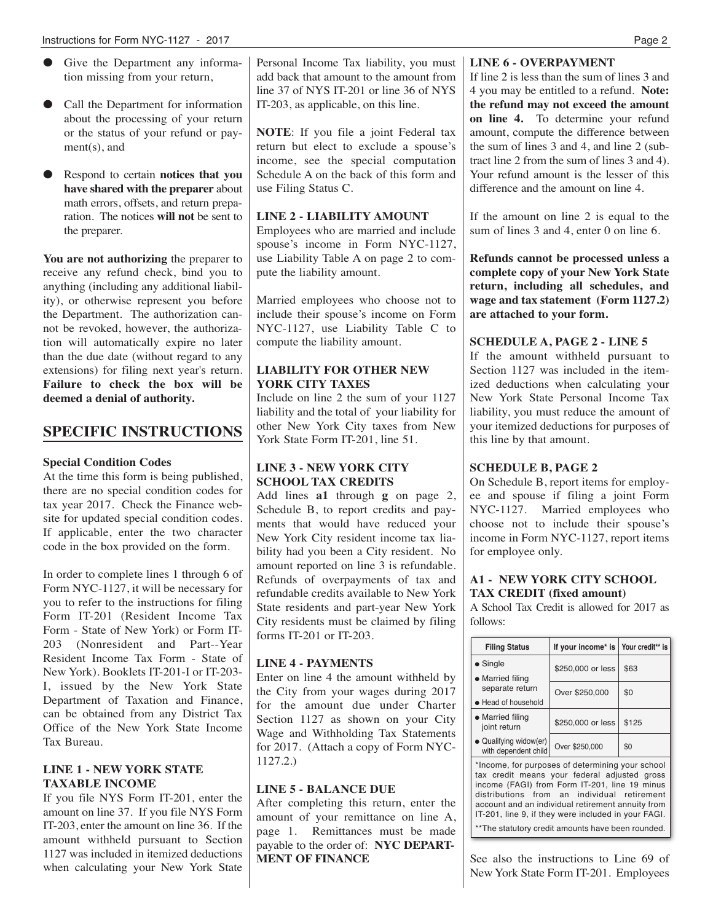- Give the Department any information missing from your return,
- Call the Department for information about the processing of your return or the status of your refund or payment(s), and
- Respond to certain **notices that you have shared with the preparer** about math errors, offsets, and return preparation. The notices **will not** be sent to the preparer.

**You are not authorizing** the preparer to receive any refund check, bind you to anything (including any additional liability), or otherwise represent you before the Department. The authorization cannot be revoked, however, the authorization will automatically expire no later than the due date (without regard to any extensions) for filing next year's return. **Failure to check the box will be deemed a denial of authority.**

## **SPECIFIC INSTRUCTIONS**

## **Special Condition Codes**

At the time this form is being published, there are no special condition codes for tax year 2017. Check the Finance website for updated special condition codes. If applicable, enter the two character code in the box provided on the form.

In order to complete lines 1 through 6 of Form NYC-1127, it will be necessary for you to refer to the instructions for filing Form IT-201 (Resident Income Tax Form - State of New York) or Form IT-203 (Nonresident and Part--Year Resident Income Tax Form - State of New York). Booklets IT-201-I or IT-203- I, issued by the New York State Department of Taxation and Finance, can be obtained from any District Tax Office of the New York State Income Tax Bureau.

#### **LINE 1 - NEW YORK STATE TAXABLE INCOME**

If you file NYS Form IT-201, enter the amount on line 37. If you file NYS Form IT-203, enter the amount on line 36. If the amount withheld pursuant to Section 1127 was included in itemized deductions when calculating your New York State

Personal Income Tax liability, you must add back that amount to the amount from line 37 of NYS IT-201 or line 36 of NYS IT-203, as applicable, on this line.

**NOTE**: If you file a joint Federal tax return but elect to exclude a spouse's income, see the special computation Schedule A on the back of this form and use Filing Status C.

#### **LINE 2 - LIABILITY AMOUNT**

Employees who are married and include spouse's income in Form NYC-1127, use Liability Table A on page 2 to compute the liability amount.

Married employees who choose not to include their spouse's income on Form NYC-1127, use Liability Table C to compute the liability amount.

## **LIABILITY FOR OTHER NEW YORK CITY TAXES**

Include on line 2 the sum of your 1127 liability and the total of your liability for other New York City taxes from New York State Form IT-201, line 51.

## **LINE 3 - NEW YORK CITY SCHOOL TAX CREDITS**

Add lines **a1** through **g** on page 2, Schedule B, to report credits and payments that would have reduced your New York City resident income tax liability had you been a City resident. No amount reported on line 3 is refundable. Refunds of overpayments of tax and refundable credits available to New York State residents and part-year New York City residents must be claimed by filing forms IT-201 or IT-203.

## **LINE 4 - PAYMENTS**

Enter on line 4 the amount withheld by the City from your wages during 2017 for the amount due under Charter Section 1127 as shown on your City Wage and Withholding Tax Statements for 2017. (Attach a copy of Form NYC-1127.2.)

#### **LINE 5 - BALANCE DUE**

After completing this return, enter the amount of your remittance on line A, page 1. Remittances must be made payable to the order of: **NYC DEPART-MENT OF FINANCE**

## **LINE 6 - OVERPAYMENT**

If line 2 is less than the sum of lines 3 and 4 you may be entitled to a refund. **Note: the refund may not exceed the amount on line 4.** To determine your refund amount, compute the difference between the sum of lines 3 and 4, and line 2 (subtract line 2 from the sum of lines 3 and 4). Your refund amount is the lesser of this difference and the amount on line 4.

If the amount on line 2 is equal to the sum of lines 3 and 4, enter 0 on line 6.

**Refunds cannot be processed unless a complete copy of your New York State return, including all schedules, and wage and tax statement (Form 1127.2) are attached to your form.**

## **SCHEDULE A, PAGE 2 - LINE 5**

If the amount withheld pursuant to Section 1127 was included in the itemized deductions when calculating your New York State Personal Income Tax liability, you must reduce the amount of your itemized deductions for purposes of this line by that amount.

## **SCHEDULE B, PAGE 2**

On Schedule B, report items for employee and spouse if filing a joint Form NYC-1127. Married employees who choose not to include their spouse's income in Form NYC-1127, report items for employee only.

#### **A1 - NEW YORK CITY SCHOOL TAX CREDIT (fixed amount)**

A School Tax Credit is allowed for 2017 as follows:

| <b>Filing Status</b>                                                                                                                                                                                                                                  | If your income* is   Your credit** is |       |  |  |  |
|-------------------------------------------------------------------------------------------------------------------------------------------------------------------------------------------------------------------------------------------------------|---------------------------------------|-------|--|--|--|
| $\bullet$ Single                                                                                                                                                                                                                                      | \$250,000 or less                     | \$63  |  |  |  |
| • Married filing<br>separate return<br>• Head of household                                                                                                                                                                                            | Over \$250,000                        | \$0   |  |  |  |
| • Married filing<br>joint return                                                                                                                                                                                                                      | \$250,000 or less                     | \$125 |  |  |  |
| • Qualifying widow(er)<br>with dependent child                                                                                                                                                                                                        | Over \$250,000                        | \$0   |  |  |  |
| *Income, for purposes of determining your school<br>tax credit means your federal adjusted gross<br>income (FAGI) from Form IT-201, line 19 minus<br>distributions from an individual retirement<br>account and an individual retirement annuity from |                                       |       |  |  |  |

See also the instructions to Line 69 of New York State Form IT-201. Employees

IT-201, line 9, if they were included in your FAGI. \*\*The statutory credit amounts have been rounded.